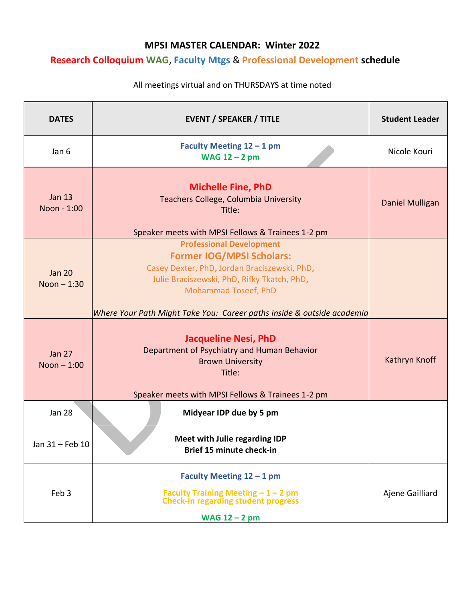## **MPSI MASTER CALENDAR: Winter 2022**

## **Research Colloquium WAG**, **Faculty Mtgs** & **Professional Development schedule**

| <b>DATES</b>                  | <b>EVENT / SPEAKER / TITLE</b>                                                                                                                                                                                                                                       | <b>Student Leader</b> |
|-------------------------------|----------------------------------------------------------------------------------------------------------------------------------------------------------------------------------------------------------------------------------------------------------------------|-----------------------|
| Jan 6                         | Faculty Meeting $12 - 1$ pm<br>WAG $12 - 2$ pm                                                                                                                                                                                                                       | Nicole Kouri          |
| <b>Jan 13</b><br>Noon - 1:00  | <b>Michelle Fine, PhD</b><br>Teachers College, Columbia University<br>Title:<br>Speaker meets with MPSI Fellows & Trainees 1-2 pm                                                                                                                                    | Daniel Mulligan       |
| <b>Jan 20</b><br>Noon $-1:30$ | <b>Professional Development</b><br><b>Former IOG/MPSI Scholars:</b><br>Casey Dexter, PhD, Jordan Braciszewski, PhD,<br>Julie Braciszewski, PhD, Rifky Tkatch, PhD,<br>Mohammad Toseef, PhD<br>Where Your Path Might Take You: Career paths inside & outside academia |                       |
| <b>Jan 27</b><br>Noon $-1:00$ | <b>Jacqueline Nesi, PhD</b><br>Department of Psychiatry and Human Behavior<br><b>Brown University</b><br>Title:<br>Speaker meets with MPSI Fellows & Trainees 1-2 pm                                                                                                 | Kathryn Knoff         |
| <b>Jan 28</b>                 | Midyear IDP due by 5 pm                                                                                                                                                                                                                                              |                       |
| Jan 31 - Feb 10               | Meet with Julie regarding IDP<br>Brief 15 minute check-in                                                                                                                                                                                                            |                       |
| Feb 3                         | Faculty Meeting $12 - 1$ pm<br>Faculty Training Meeting $-1-2$ pm<br><b>Check-in regarding student progress</b><br>WAG $12 - 2$ pm                                                                                                                                   | Ajene Gailliard       |

## All meetings virtual and on THURSDAYS at time noted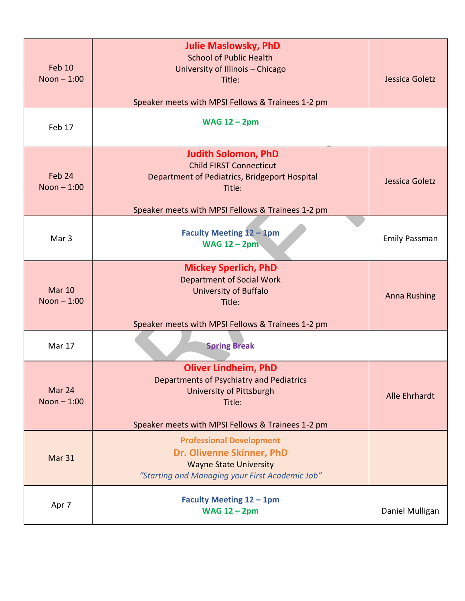| Feb 10<br>Noon $-1:00$        | <b>Julie Maslowsky, PhD</b><br><b>School of Public Health</b><br>University of Illinois - Chicago<br>Title:<br>Speaker meets with MPSI Fellows & Trainees 1-2 pm             | Jessica Goletz       |
|-------------------------------|------------------------------------------------------------------------------------------------------------------------------------------------------------------------------|----------------------|
| Feb 17                        | <b>WAG 12 - 2pm</b>                                                                                                                                                          |                      |
| Feb 24<br>Noon $-1:00$        | <b>Judith Solomon, PhD</b><br><b>Child FIRST Connecticut</b><br>Department of Pediatrics, Bridgeport Hospital<br>Title:<br>Speaker meets with MPSI Fellows & Trainees 1-2 pm | Jessica Goletz       |
| Mar <sub>3</sub>              | <b>Faculty Meeting 12 - 1pm</b><br><b>WAG 12 - 2pm</b>                                                                                                                       | <b>Emily Passman</b> |
| <b>Mar 10</b><br>Noon $-1:00$ | <b>Mickey Sperlich, PhD</b><br><b>Department of Social Work</b><br><b>University of Buffalo</b><br>Title:<br>Speaker meets with MPSI Fellows & Trainees 1-2 pm               | <b>Anna Rushing</b>  |
| Mar 17                        | <b>Spring Break</b>                                                                                                                                                          |                      |
| Mar 24<br>Noon $-1:00$        | <b>Oliver Lindheim, PhD</b><br>Departments of Psychiatry and Pediatrics<br><b>University of Pittsburgh</b><br>Title:<br>Speaker meets with MPSI Fellows & Trainees 1-2 pm    | Alle Ehrhardt        |
| Mar 31                        | <b>Professional Development</b><br>Dr. Olivenne Skinner, PhD<br><b>Wayne State University</b><br>"Starting and Managing your First Academic Job"                             |                      |
| Apr 7                         | <b>Faculty Meeting 12 - 1pm</b><br><b>WAG 12 - 2pm</b>                                                                                                                       | Daniel Mulligan      |